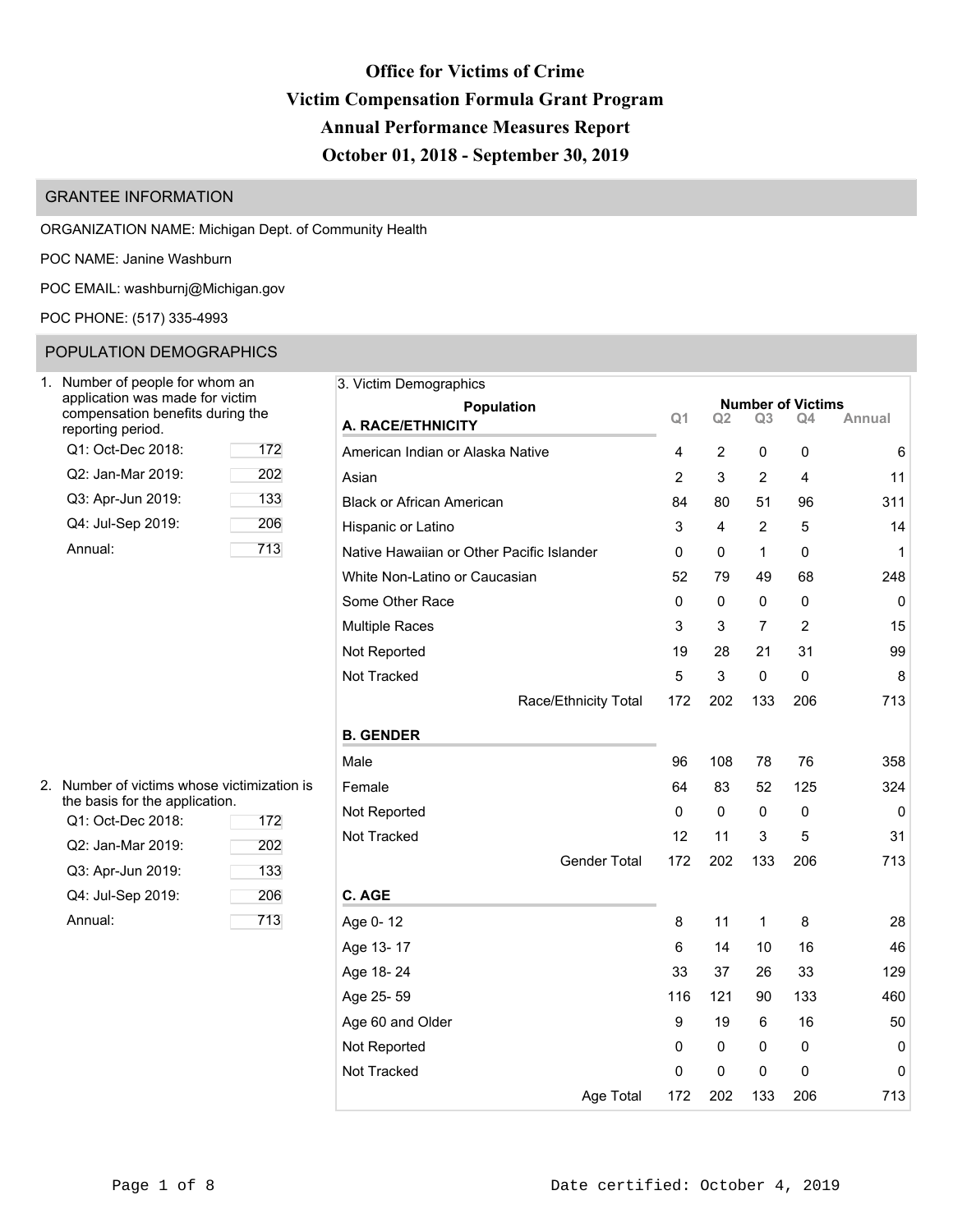# **Office for Victims of Crime Victim Compensation Formula Grant Program Annual Performance Measures Report October 01, 2018 - September 30, 2019**

## GRANTEE INFORMATION

ORGANIZATION NAME: Michigan Dept. of Community Health

POC NAME: Janine Washburn

POC EMAIL: [washburnj@Michigan.gov](mailto:washburnj@Michigan.gov)

### POC PHONE: (517) 335-4993

## POPULATION DEMOGRAPHICS

| Number of people for whom an<br>application was made for victim<br>compensation benefits during the<br>reporting period. |     |
|--------------------------------------------------------------------------------------------------------------------------|-----|
| Q1: Oct-Dec 2018:                                                                                                        | 172 |
| Q2: Jan-Mar 2019:                                                                                                        | 202 |
| Q3: Apr-Jun 2019:                                                                                                        | 133 |
| Q4: Jul-Sep 2019:                                                                                                        | 206 |
| Annual:                                                                                                                  | 713 |

| Jumber of people for whom an                                                            | 3. Victim Demographics                    |                |                |                |                                |        |
|-----------------------------------------------------------------------------------------|-------------------------------------------|----------------|----------------|----------------|--------------------------------|--------|
| application was made for victim<br>compensation benefits during the<br>eporting period. | <b>Population</b><br>A. RACE/ETHNICITY    | Q <sub>1</sub> | Q <sub>2</sub> | Q <sub>3</sub> | <b>Number of Victims</b><br>Q4 | Annual |
| Q1: Oct-Dec 2018:<br>172                                                                | American Indian or Alaska Native          | 4              | 2              | 0              | 0                              | 6      |
| 202<br>Q2: Jan-Mar 2019:                                                                | Asian                                     | 2              | 3              | 2              | 4                              | 11     |
| 133<br>Q3: Apr-Jun 2019:                                                                | <b>Black or African American</b>          | 84             | 80             | 51             | 96                             | 311    |
| Q4: Jul-Sep 2019:<br>206                                                                | Hispanic or Latino                        | 3              | 4              | $\overline{c}$ | 5                              | 14     |
| 713<br>Annual:                                                                          | Native Hawaiian or Other Pacific Islander | 0              | 0              | 1              | 0                              | 1      |
|                                                                                         | White Non-Latino or Caucasian             | 52             | 79             | 49             | 68                             | 248    |
|                                                                                         | Some Other Race                           | 0              | 0              | 0              | 0                              | 0      |
|                                                                                         | <b>Multiple Races</b>                     | 3              | 3              | 7              | 2                              | 15     |
|                                                                                         | Not Reported                              | 19             | 28             | 21             | 31                             | 99     |
|                                                                                         | Not Tracked                               | 5              | 3              | 0              | 0                              | 8      |
|                                                                                         | Race/Ethnicity Total                      | 172            | 202            | 133            | 206                            | 713    |
|                                                                                         | <b>B. GENDER</b>                          |                |                |                |                                |        |
|                                                                                         | Male                                      | 96             | 108            | 78             | 76                             | 358    |
| Jumber of victims whose victimization is                                                | Female                                    | 64             | 83             | 52             | 125                            | 324    |
| he basis for the application.<br>Q1: Oct-Dec 2018:<br>172                               | Not Reported                              | 0              | $\mathbf 0$    | 0              | 0                              | 0      |
| Q2: Jan-Mar 2019:<br>202                                                                | Not Tracked                               | 12             | 11             | 3              | 5                              | 31     |
| Q3: Apr-Jun 2019:<br>133                                                                | <b>Gender Total</b>                       | 172            | 202            | 133            | 206                            | 713    |
| 206<br>Q4: Jul-Sep 2019:                                                                | C. AGE                                    |                |                |                |                                |        |
| 713<br>Annual:                                                                          | Age 0-12                                  | 8              | 11             | 1              | 8                              | 28     |
|                                                                                         | Age 13-17                                 | 6              | 14             | 10             | 16                             | 46     |
|                                                                                         | Age 18-24                                 | 33             | 37             | 26             | 33                             | 129    |
|                                                                                         | Age 25-59                                 | 116            | 121            | 90             | 133                            | 460    |
|                                                                                         | Age 60 and Older                          | 9              | 19             | 6              | 16                             | 50     |
|                                                                                         | Not Reported                              | 0              | 0              | 0              | 0                              | 0      |
|                                                                                         | Not Tracked                               | 0              | 0              | 0              | 0                              | 0      |
|                                                                                         | Age Total                                 | 172            | 202            | 133            | 206                            | 713    |

| 2. Number of victims whose victimization is |
|---------------------------------------------|
| the basis for the application.              |

| Q1: Oct-Dec 2018: | 172 | 1101110p |
|-------------------|-----|----------|
| Q2: Jan-Mar 2019: | 202 | Not Trac |
| Q3: Apr-Jun 2019: | 133 |          |
| Q4: Jul-Sep 2019: | 206 | C. AGE   |
| Annual:           | 713 | Age 0-1  |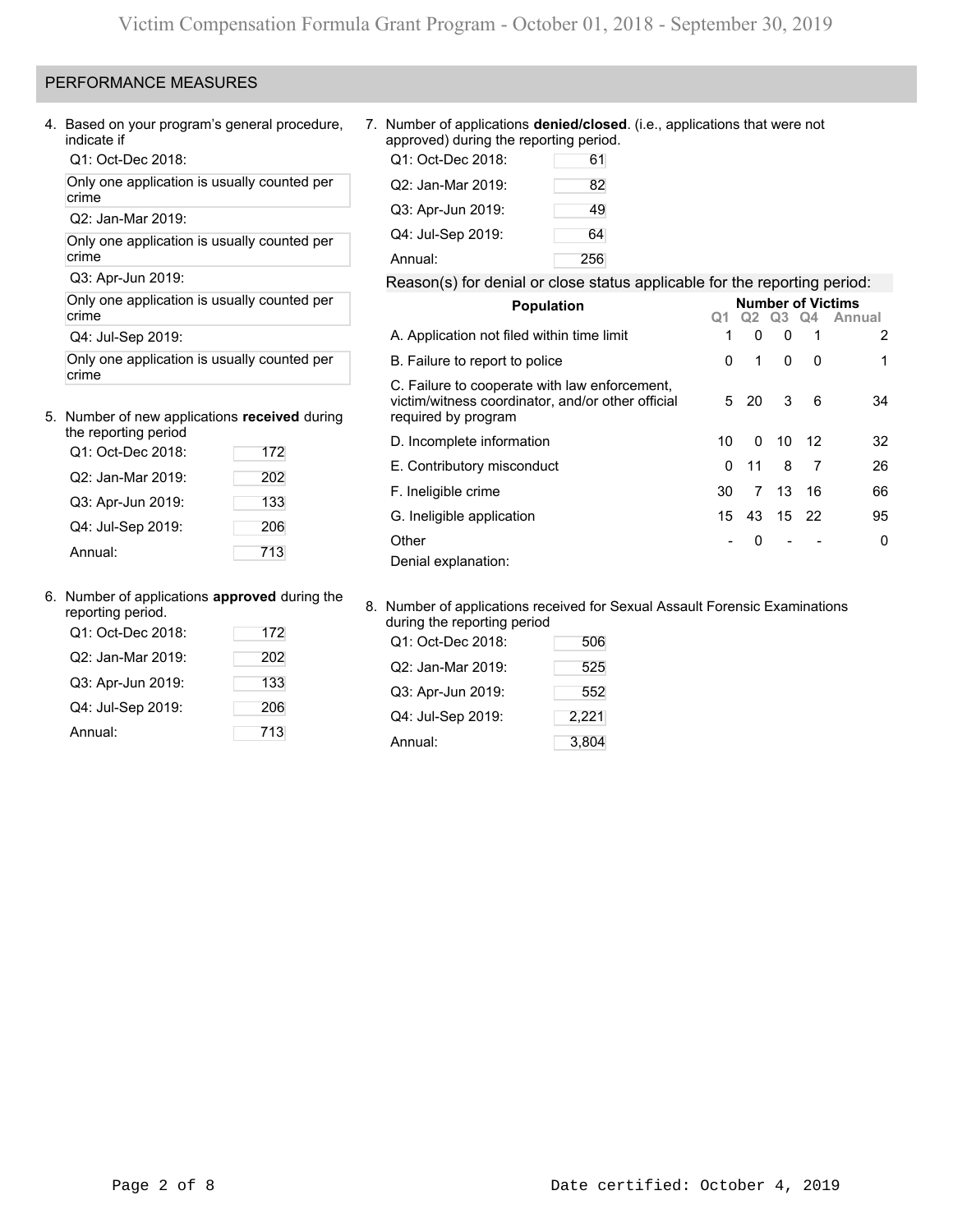### PERFORMANCE MEASURES

4. Based on your program's general procedure, indicate if

Q1: Oct-Dec 2018:

Only one application is usually counted per crime

Q2: Jan-Mar 2019:

Only one application is usually counted per crime

Q3: Apr-Jun 2019:

Only one application is usually counted per crime

Q4: Jul-Sep 2019:

Only one application is usually counted per crime

# 5. Number of new applications **received** during

| the reporting period |     |
|----------------------|-----|
| Q1: Oct-Dec 2018:    | 172 |
| Q2: Jan-Mar 2019:    | 202 |
| Q3: Apr-Jun 2019:    | 133 |
| Q4: Jul-Sep 2019:    | 206 |
| Annual:              | 713 |

## 6. Number of applications **approved** during the

| reporting period. |     |
|-------------------|-----|
| Q1: Oct-Dec 2018: | 172 |
| Q2: Jan-Mar 2019: | 202 |
| Q3: Apr-Jun 2019: | 133 |
| Q4: Jul-Sep 2019: | 206 |
| Annual:           | 713 |

#### 7. Number of applications **denied/closed**. (i.e., applications that were not approved) during the reporting period.

| Q1: Oct-Dec 2018: | 61  |
|-------------------|-----|
| Q2: Jan-Mar 2019: | 82  |
| Q3: Apr-Jun 2019: | 49  |
| Q4: Jul-Sep 2019: | 64  |
| Annual:           | 256 |

## Reason(s) for denial or close status applicable for the reporting period:

| <b>Population</b>                                                                                                         |    |                               |    |               | <b>Number of Victims</b> |
|---------------------------------------------------------------------------------------------------------------------------|----|-------------------------------|----|---------------|--------------------------|
|                                                                                                                           |    | Q <sub>2</sub> Q <sub>3</sub> |    | <b>Q4</b>     | Annual                   |
| A. Application not filed within time limit                                                                                | 1  | 0                             | 0  | 1             | 2                        |
| B. Failure to report to police                                                                                            | 0  | 1                             | 0  | 0             | 1                        |
| C. Failure to cooperate with law enforcement,<br>victim/witness coordinator, and/or other official<br>required by program |    | 5 20                          | 3  | 6             | 34                       |
| D. Incomplete information                                                                                                 | 10 | 0                             |    | $10 \quad 12$ | 32                       |
| E. Contributory misconduct                                                                                                | 0  | 11                            | 8  | 7             | 26                       |
| F. Ineligible crime                                                                                                       | 30 | 7                             | 13 | 16            | 66                       |
| G. Ineligible application                                                                                                 | 15 | 43                            |    | 15 22         | 95                       |
| Other                                                                                                                     |    | O                             |    |               | 0                        |
| Denial explanation:                                                                                                       |    |                               |    |               |                          |

#### 8. Number of applications received for Sexual Assault Forensic Examinations during the reporting period

| Q1: Oct-Dec 2018: | 506   |
|-------------------|-------|
| Q2: Jan-Mar 2019: | 525   |
| Q3: Apr-Jun 2019: | 552   |
| Q4: Jul-Sep 2019: | 2,221 |
| Annual:           | 3,804 |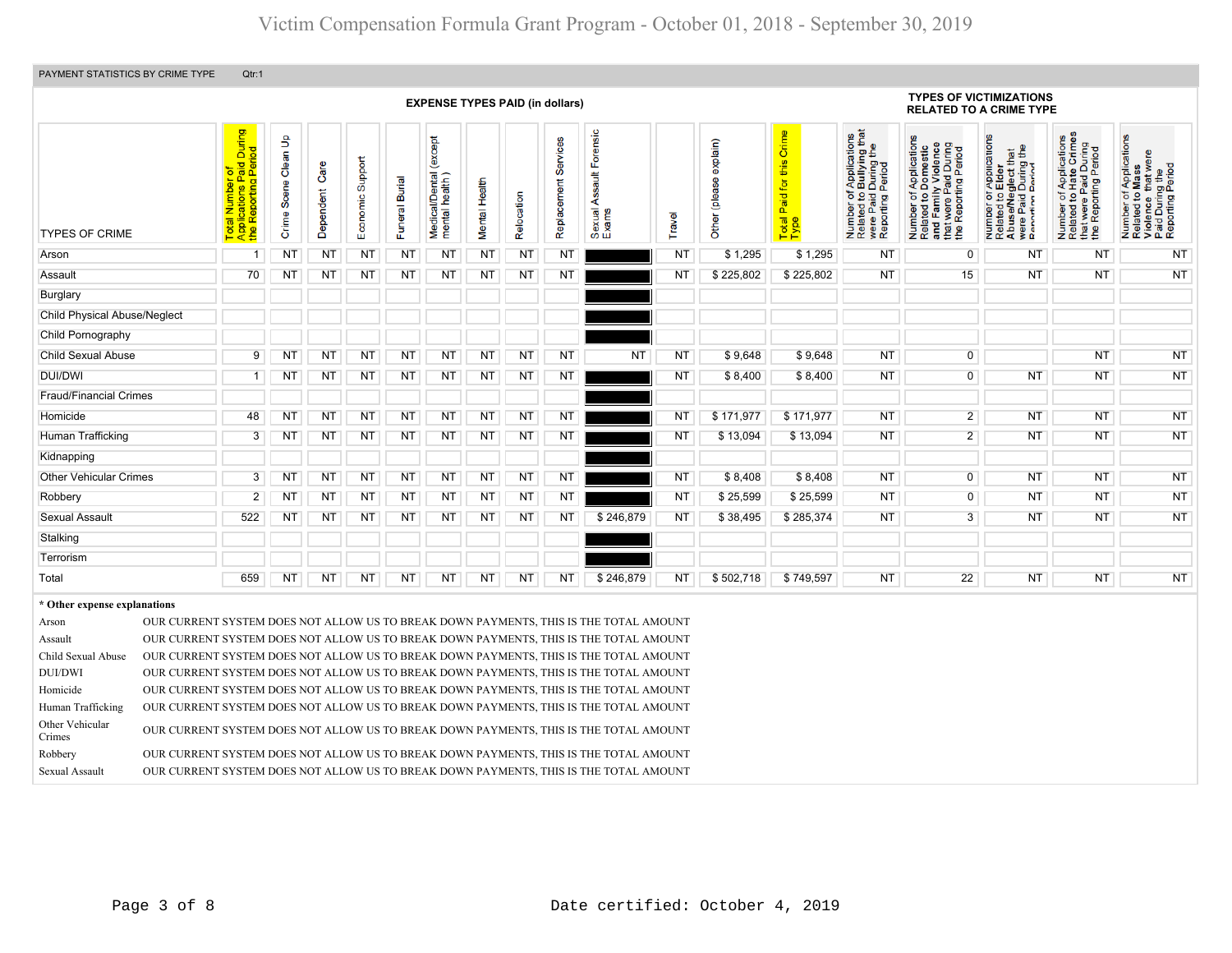| PAYMENT STATISTICS BY CRIME TYPE                                                                                                                    |                                                                                                                                                                                                                                                                                                                                                                                                                                                                                                                                                                                                                                                                                                                                                                                                                               | Qtr:1                                                           |                      |                   |                  |                |                                              |               |            |                         |                                        |           |                           |                                               |                                                                                                                                                     |                                                                                                                                                                                    |                                                                                                                                                             |                                                                                                                                                                  |                                                                                                                                    |
|-----------------------------------------------------------------------------------------------------------------------------------------------------|-------------------------------------------------------------------------------------------------------------------------------------------------------------------------------------------------------------------------------------------------------------------------------------------------------------------------------------------------------------------------------------------------------------------------------------------------------------------------------------------------------------------------------------------------------------------------------------------------------------------------------------------------------------------------------------------------------------------------------------------------------------------------------------------------------------------------------|-----------------------------------------------------------------|----------------------|-------------------|------------------|----------------|----------------------------------------------|---------------|------------|-------------------------|----------------------------------------|-----------|---------------------------|-----------------------------------------------|-----------------------------------------------------------------------------------------------------------------------------------------------------|------------------------------------------------------------------------------------------------------------------------------------------------------------------------------------|-------------------------------------------------------------------------------------------------------------------------------------------------------------|------------------------------------------------------------------------------------------------------------------------------------------------------------------|------------------------------------------------------------------------------------------------------------------------------------|
|                                                                                                                                                     |                                                                                                                                                                                                                                                                                                                                                                                                                                                                                                                                                                                                                                                                                                                                                                                                                               |                                                                 |                      |                   |                  |                | <b>EXPENSE TYPES PAID (in dollars)</b>       |               |            |                         |                                        |           |                           |                                               |                                                                                                                                                     | <b>TYPES OF VICTIMIZATIONS</b><br><b>RELATED TO A CRIME TYPE</b>                                                                                                                   |                                                                                                                                                             |                                                                                                                                                                  |                                                                                                                                    |
| <b>TYPES OF CRIME</b>                                                                                                                               |                                                                                                                                                                                                                                                                                                                                                                                                                                                                                                                                                                                                                                                                                                                                                                                                                               | During<br>$\overline{a}$<br>ting<br>Repor<br><b>otal</b><br>the | Crime Scene Clean Up | Care<br>Dependent | Economic Support | Funeral Burial | except<br>Medical/Dental (<br>mental health) | Mental Health | Relocation | Services<br>Replacement | Forensic<br>Assault<br>Sexual<br>Exams | Travel    | explain)<br>Other (please | Crime<br>this<br>for<br>Paid<br>Total<br>Type | f Applications<br>b Bullying that<br>During the<br>Period<br>Jer of<br><b>Paid</b><br>Paid<br>pring<br>Number<br>Related t<br>were Pai<br>Reporting | Applications<br>o Domestic<br>Ily Violence<br>Paid During<br>ting Period<br>ated to Dom<br>Family Vice -<br>were Paid I<br>৳<br>Repor<br>Number<br>Related<br>and Farm<br>횽<br>the | ' Applications<br>Elder<br>that<br>g the<br>glect the<br>During<br>ber of<br>ied to I<br>se/Neg<br>Paid I<br>Number<br>Related<br>Abuse/N<br>Were<br>Report | <b>Applications</b><br>Hate Crimes<br>it were Paid During<br>Beporting Period<br>$\overline{5}$ $\overline{2}$<br>that were<br>the Report<br>Number<br>Related 1 | Applications<br>Curing the<br>مطبع Period<br>مطبعہ Period<br>e q<br>Number of<br>Related to<br>Violence<br>Paid Durin<br>Reporting |
| Arson                                                                                                                                               |                                                                                                                                                                                                                                                                                                                                                                                                                                                                                                                                                                                                                                                                                                                                                                                                                               | $\mathbf{1}$                                                    | <b>NT</b>            | <b>NT</b>         | <b>NT</b>        | <b>NT</b>      | <b>NT</b>                                    | <b>NT</b>     | <b>NT</b>  | <b>NT</b>               |                                        | <b>NT</b> | \$1,295                   | \$1,295                                       | <b>NT</b>                                                                                                                                           | $\mathbf 0$                                                                                                                                                                        | <b>NT</b>                                                                                                                                                   | <b>NT</b>                                                                                                                                                        | <b>NT</b>                                                                                                                          |
| Assault                                                                                                                                             |                                                                                                                                                                                                                                                                                                                                                                                                                                                                                                                                                                                                                                                                                                                                                                                                                               | 70                                                              | <b>NT</b>            | ΝT                | <b>NT</b>        | ΝT             | <b>NT</b>                                    | <b>NT</b>     | <b>NT</b>  | <b>NT</b>               |                                        | <b>NT</b> | \$225,802                 | \$225,802                                     | <b>NT</b>                                                                                                                                           | 15                                                                                                                                                                                 | <b>NT</b>                                                                                                                                                   | <b>NT</b>                                                                                                                                                        | <b>NT</b>                                                                                                                          |
| Burglary                                                                                                                                            |                                                                                                                                                                                                                                                                                                                                                                                                                                                                                                                                                                                                                                                                                                                                                                                                                               |                                                                 |                      |                   |                  |                |                                              |               |            |                         |                                        |           |                           |                                               |                                                                                                                                                     |                                                                                                                                                                                    |                                                                                                                                                             |                                                                                                                                                                  |                                                                                                                                    |
| <b>Child Physical Abuse/Neglect</b>                                                                                                                 |                                                                                                                                                                                                                                                                                                                                                                                                                                                                                                                                                                                                                                                                                                                                                                                                                               |                                                                 |                      |                   |                  |                |                                              |               |            |                         |                                        |           |                           |                                               |                                                                                                                                                     |                                                                                                                                                                                    |                                                                                                                                                             |                                                                                                                                                                  |                                                                                                                                    |
| Child Pornography                                                                                                                                   |                                                                                                                                                                                                                                                                                                                                                                                                                                                                                                                                                                                                                                                                                                                                                                                                                               |                                                                 |                      |                   |                  |                |                                              |               |            |                         |                                        |           |                           |                                               |                                                                                                                                                     |                                                                                                                                                                                    |                                                                                                                                                             |                                                                                                                                                                  |                                                                                                                                    |
| <b>Child Sexual Abuse</b>                                                                                                                           |                                                                                                                                                                                                                                                                                                                                                                                                                                                                                                                                                                                                                                                                                                                                                                                                                               | 9                                                               | NT                   | NT                | <b>NT</b>        | NT             | <b>NT</b>                                    | <b>NT</b>     | <b>NT</b>  | NT                      | <b>NT</b>                              | NT        | \$9,648                   | \$9,648                                       | <b>NT</b>                                                                                                                                           | $\overline{0}$                                                                                                                                                                     |                                                                                                                                                             | <b>NT</b>                                                                                                                                                        | <b>NT</b>                                                                                                                          |
| <b>DUI/DWI</b>                                                                                                                                      |                                                                                                                                                                                                                                                                                                                                                                                                                                                                                                                                                                                                                                                                                                                                                                                                                               | 1                                                               | NT                   | NT                | <b>NT</b>        | <b>NT</b>      | <b>NT</b>                                    | <b>NT</b>     | <b>NT</b>  | NT                      |                                        | <b>NT</b> | \$8,400                   | \$8,400                                       | <b>NT</b>                                                                                                                                           | $\overline{0}$                                                                                                                                                                     | <b>NT</b>                                                                                                                                                   | <b>NT</b>                                                                                                                                                        | <b>NT</b>                                                                                                                          |
| Fraud/Financial Crimes                                                                                                                              |                                                                                                                                                                                                                                                                                                                                                                                                                                                                                                                                                                                                                                                                                                                                                                                                                               |                                                                 |                      |                   |                  |                |                                              |               |            |                         |                                        |           |                           |                                               |                                                                                                                                                     |                                                                                                                                                                                    |                                                                                                                                                             |                                                                                                                                                                  |                                                                                                                                    |
| Homicide                                                                                                                                            |                                                                                                                                                                                                                                                                                                                                                                                                                                                                                                                                                                                                                                                                                                                                                                                                                               | 48                                                              | <b>NT</b>            | <b>NT</b>         | <b>NT</b>        | <b>NT</b>      | <b>NT</b>                                    | <b>NT</b>     | NT         | NT                      |                                        | <b>NT</b> | \$171,977                 | \$171,977                                     | <b>NT</b>                                                                                                                                           | $\overline{2}$                                                                                                                                                                     | <b>NT</b>                                                                                                                                                   | <b>NT</b>                                                                                                                                                        | <b>NT</b>                                                                                                                          |
| Human Trafficking                                                                                                                                   |                                                                                                                                                                                                                                                                                                                                                                                                                                                                                                                                                                                                                                                                                                                                                                                                                               | 3                                                               | <b>NT</b>            | <b>NT</b>         | <b>NT</b>        | <b>NT</b>      | NT                                           | <b>NT</b>     | NT         | NT                      |                                        | <b>NT</b> | \$13,094                  | \$13,094                                      | NT                                                                                                                                                  | $\overline{2}$                                                                                                                                                                     | <b>NT</b>                                                                                                                                                   | NT                                                                                                                                                               | <b>NT</b>                                                                                                                          |
| Kidnapping                                                                                                                                          |                                                                                                                                                                                                                                                                                                                                                                                                                                                                                                                                                                                                                                                                                                                                                                                                                               |                                                                 |                      |                   |                  |                |                                              |               |            |                         |                                        |           |                           |                                               |                                                                                                                                                     |                                                                                                                                                                                    |                                                                                                                                                             |                                                                                                                                                                  |                                                                                                                                    |
| <b>Other Vehicular Crimes</b>                                                                                                                       |                                                                                                                                                                                                                                                                                                                                                                                                                                                                                                                                                                                                                                                                                                                                                                                                                               | 3                                                               | <b>NT</b>            | ΝT                | ΝT               | NT             | NT                                           | NT            | NT         | <b>NT</b>               |                                        | <b>NT</b> | \$8,408                   | \$8,408                                       | NT                                                                                                                                                  | $\overline{0}$                                                                                                                                                                     | <b>NT</b>                                                                                                                                                   | <b>NT</b>                                                                                                                                                        | <b>NT</b>                                                                                                                          |
| Robbery                                                                                                                                             |                                                                                                                                                                                                                                                                                                                                                                                                                                                                                                                                                                                                                                                                                                                                                                                                                               | $\overline{2}$                                                  | <b>NT</b>            | <b>NT</b>         | <b>NT</b>        | ΝT             | NT                                           | <b>NT</b>     | <b>NT</b>  | <b>NT</b>               |                                        | <b>NT</b> | \$25,599                  | \$25,599                                      | <b>NT</b>                                                                                                                                           | 0                                                                                                                                                                                  | <b>NT</b>                                                                                                                                                   | <b>NT</b>                                                                                                                                                        | <b>NT</b>                                                                                                                          |
| <b>Sexual Assault</b>                                                                                                                               |                                                                                                                                                                                                                                                                                                                                                                                                                                                                                                                                                                                                                                                                                                                                                                                                                               | 522                                                             | ΝT                   | ΝT                | <b>NT</b>        | ΝT             | NT                                           | <b>NT</b>     | ΝT         | <b>NT</b>               | \$246,879                              | <b>NT</b> | \$38,495                  | \$285,374                                     | <b>NT</b>                                                                                                                                           | $\overline{3}$                                                                                                                                                                     | <b>NT</b>                                                                                                                                                   | <b>NT</b>                                                                                                                                                        | <b>NT</b>                                                                                                                          |
| Stalking                                                                                                                                            |                                                                                                                                                                                                                                                                                                                                                                                                                                                                                                                                                                                                                                                                                                                                                                                                                               |                                                                 |                      |                   |                  |                |                                              |               |            |                         |                                        |           |                           |                                               |                                                                                                                                                     |                                                                                                                                                                                    |                                                                                                                                                             |                                                                                                                                                                  |                                                                                                                                    |
| Terrorism                                                                                                                                           |                                                                                                                                                                                                                                                                                                                                                                                                                                                                                                                                                                                                                                                                                                                                                                                                                               |                                                                 |                      |                   |                  |                |                                              |               |            |                         |                                        |           |                           |                                               |                                                                                                                                                     |                                                                                                                                                                                    |                                                                                                                                                             |                                                                                                                                                                  |                                                                                                                                    |
| Total                                                                                                                                               |                                                                                                                                                                                                                                                                                                                                                                                                                                                                                                                                                                                                                                                                                                                                                                                                                               | 659                                                             | <b>NT</b>            | <b>NT</b>         | <b>NT</b>        | <b>NT</b>      | <b>NT</b>                                    | <b>NT</b>     | <b>NT</b>  | <b>NT</b>               | \$246,879                              | <b>NT</b> | \$502,718                 | \$749,597                                     | <b>NT</b>                                                                                                                                           | 22                                                                                                                                                                                 | <b>NT</b>                                                                                                                                                   | <b>NT</b>                                                                                                                                                        | <b>NT</b>                                                                                                                          |
| * Other expense explanations                                                                                                                        |                                                                                                                                                                                                                                                                                                                                                                                                                                                                                                                                                                                                                                                                                                                                                                                                                               |                                                                 |                      |                   |                  |                |                                              |               |            |                         |                                        |           |                           |                                               |                                                                                                                                                     |                                                                                                                                                                                    |                                                                                                                                                             |                                                                                                                                                                  |                                                                                                                                    |
| Arson<br>Assault<br>Child Sexual Abuse<br><b>DUI/DWI</b><br>Homicide<br>Human Trafficking<br>Other Vehicular<br>Crimes<br>Robbery<br>Sexual Assault | OUR CURRENT SYSTEM DOES NOT ALLOW US TO BREAK DOWN PAYMENTS, THIS IS THE TOTAL AMOUNT<br>OUR CURRENT SYSTEM DOES NOT ALLOW US TO BREAK DOWN PAYMENTS, THIS IS THE TOTAL AMOUNT<br>OUR CURRENT SYSTEM DOES NOT ALLOW US TO BREAK DOWN PAYMENTS, THIS IS THE TOTAL AMOUNT<br>OUR CURRENT SYSTEM DOES NOT ALLOW US TO BREAK DOWN PAYMENTS, THIS IS THE TOTAL AMOUNT<br>OUR CURRENT SYSTEM DOES NOT ALLOW US TO BREAK DOWN PAYMENTS, THIS IS THE TOTAL AMOUNT<br>OUR CURRENT SYSTEM DOES NOT ALLOW US TO BREAK DOWN PAYMENTS, THIS IS THE TOTAL AMOUNT<br>OUR CURRENT SYSTEM DOES NOT ALLOW US TO BREAK DOWN PAYMENTS, THIS IS THE TOTAL AMOUNT<br>OUR CURRENT SYSTEM DOES NOT ALLOW US TO BREAK DOWN PAYMENTS, THIS IS THE TOTAL AMOUNT<br>OUR CURRENT SYSTEM DOES NOT ALLOW US TO BREAK DOWN PAYMENTS, THIS IS THE TOTAL AMOUNT |                                                                 |                      |                   |                  |                |                                              |               |            |                         |                                        |           |                           |                                               |                                                                                                                                                     |                                                                                                                                                                                    |                                                                                                                                                             |                                                                                                                                                                  |                                                                                                                                    |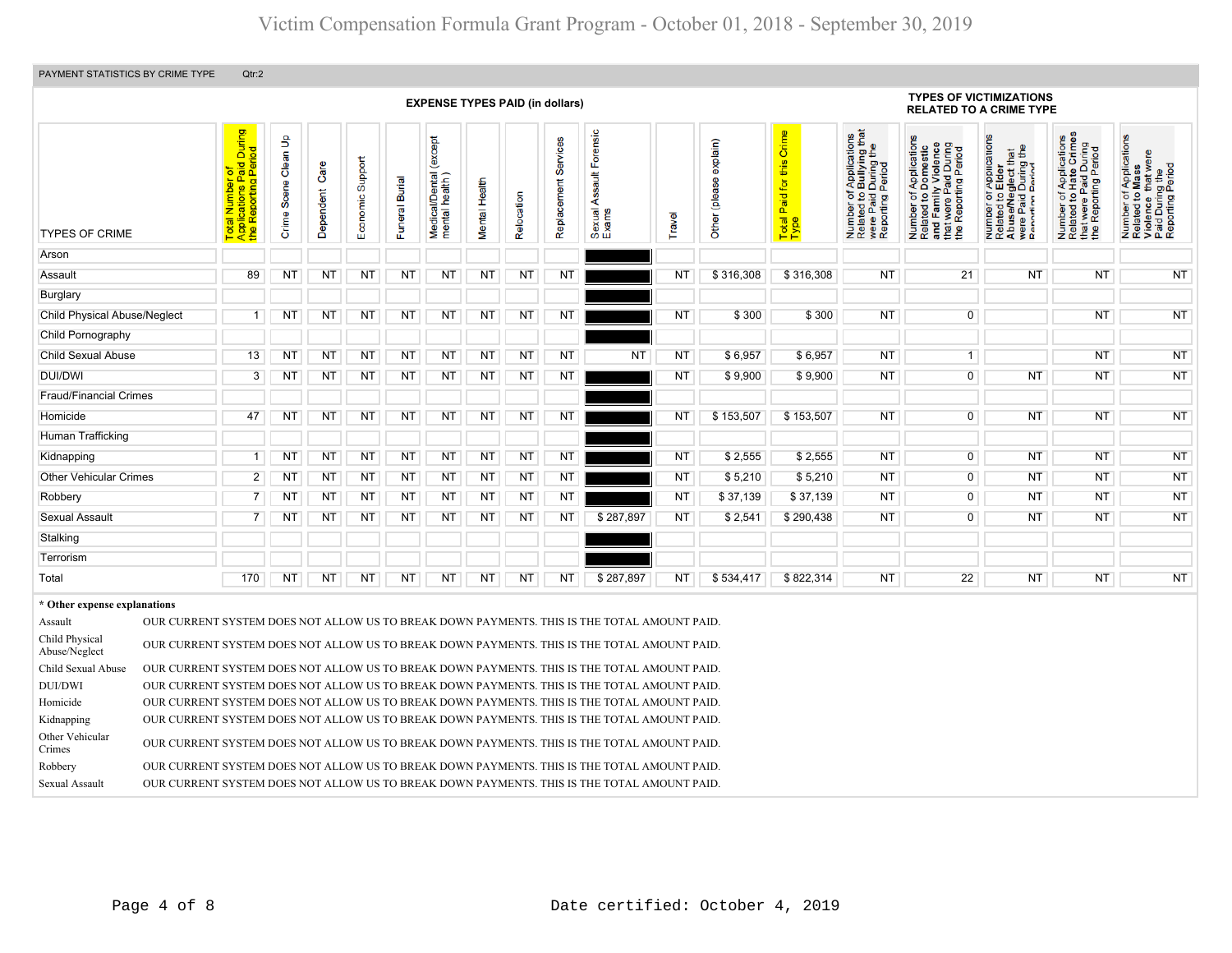## Victim Compensation Formula Grant Program - October 01, 2018 - September 30, 2019

| PAYMENT STATISTICS BY CRIME TYPE                                                        | Qtr:2                                 |                      |                   |                  |                |                                              |               |            |                         |                                                                                                                                                                                                                                                                                                                                                                                                                                                                                         |           |                           |                                         |                                                                                                                                           |                                                                                                                                                            |                                                                                                                                        |                                                                                                   |                                                                                                                               |
|-----------------------------------------------------------------------------------------|---------------------------------------|----------------------|-------------------|------------------|----------------|----------------------------------------------|---------------|------------|-------------------------|-----------------------------------------------------------------------------------------------------------------------------------------------------------------------------------------------------------------------------------------------------------------------------------------------------------------------------------------------------------------------------------------------------------------------------------------------------------------------------------------|-----------|---------------------------|-----------------------------------------|-------------------------------------------------------------------------------------------------------------------------------------------|------------------------------------------------------------------------------------------------------------------------------------------------------------|----------------------------------------------------------------------------------------------------------------------------------------|---------------------------------------------------------------------------------------------------|-------------------------------------------------------------------------------------------------------------------------------|
|                                                                                         |                                       |                      |                   |                  |                | <b>EXPENSE TYPES PAID (in dollars)</b>       |               |            |                         |                                                                                                                                                                                                                                                                                                                                                                                                                                                                                         |           |                           |                                         |                                                                                                                                           | <b>TYPES OF VICTIMIZATIONS</b><br><b>RELATED TO A CRIME TYPE</b>                                                                                           |                                                                                                                                        |                                                                                                   |                                                                                                                               |
| <b>TYPES OF CRIME</b>                                                                   | During<br>a.<br>$\sigma$<br>otal<br>⋖ | Crime Scene Clean Up | Care<br>Dependent | Economic Support | Funeral Burial | except<br>Medical/Dental (<br>mental health) | Mental Health | Relocation | Services<br>Replacement | Forensic<br>Assault<br>Sexual                                                                                                                                                                                                                                                                                                                                                                                                                                                           | Travel    | explain)<br>Other (please | Crime<br>Paid for this<br>Total<br>Type | of Applications<br>b Bullying that<br>1 During the<br>I Period<br>Number of <i>i</i><br>Related to <b>E</b><br>were Paid L<br>Reporting P | f Applications<br>Domestic<br>ly Violence<br>During<br>۵<br>Number of App<br>Related to Dom<br>and Family Vice<br>that were Paid I<br>ting<br>Repor<br>the | r Applications<br>Elder<br>Number or Applications<br>Related to Elder<br>AbuseMeglect that<br>were Paid During the<br>Renorting Period | Number of Applications<br>Related to Hate Crimes<br>that were Paid During<br>the Reporting Period | Applications<br>Mass<br>Number of Application<br>Related to Mass<br>Violence that were<br>Paid During the<br>Reporting Period |
| Arson                                                                                   |                                       |                      |                   |                  |                |                                              |               |            |                         |                                                                                                                                                                                                                                                                                                                                                                                                                                                                                         |           |                           |                                         |                                                                                                                                           |                                                                                                                                                            |                                                                                                                                        |                                                                                                   |                                                                                                                               |
| Assault                                                                                 | 89                                    | <b>NT</b>            | NT                | <b>NT</b>        | ΝT             | <b>NT</b>                                    | ΝT            | NT         | <b>NT</b>               |                                                                                                                                                                                                                                                                                                                                                                                                                                                                                         | <b>NT</b> | \$316,308                 | \$316,308                               | <b>NT</b>                                                                                                                                 | 21                                                                                                                                                         | <b>NT</b>                                                                                                                              | <b>NT</b>                                                                                         | <b>NT</b>                                                                                                                     |
| Burglary                                                                                |                                       |                      |                   |                  |                |                                              |               |            |                         |                                                                                                                                                                                                                                                                                                                                                                                                                                                                                         |           |                           |                                         |                                                                                                                                           |                                                                                                                                                            |                                                                                                                                        |                                                                                                   |                                                                                                                               |
| <b>Child Physical Abuse/Neglect</b>                                                     | -1                                    | <b>NT</b>            | <b>NT</b>         | <b>NT</b>        | <b>NT</b>      | <b>NT</b>                                    | NT            | <b>NT</b>  | NT                      |                                                                                                                                                                                                                                                                                                                                                                                                                                                                                         | <b>NT</b> | \$300                     | \$300                                   | <b>NT</b>                                                                                                                                 | $\overline{0}$                                                                                                                                             |                                                                                                                                        | <b>NT</b>                                                                                         | <b>NT</b>                                                                                                                     |
| Child Pornography                                                                       |                                       |                      |                   |                  |                |                                              |               |            |                         |                                                                                                                                                                                                                                                                                                                                                                                                                                                                                         |           |                           |                                         |                                                                                                                                           |                                                                                                                                                            |                                                                                                                                        |                                                                                                   |                                                                                                                               |
| <b>Child Sexual Abuse</b>                                                               | 13                                    | <b>NT</b>            | NT                | <b>NT</b>        | <b>NT</b>      | <b>NT</b>                                    | <b>NT</b>     | NT         | <b>NT</b>               | <b>NT</b>                                                                                                                                                                                                                                                                                                                                                                                                                                                                               | NT        | \$6,957                   | \$6,957                                 | <b>NT</b>                                                                                                                                 | $\overline{1}$                                                                                                                                             |                                                                                                                                        | <b>NT</b>                                                                                         | NT                                                                                                                            |
| <b>DUI/DWI</b>                                                                          | 3                                     | NT                   | NT                | <b>NT</b>        | NT             | NT                                           | ΝT            | NT         | NT                      |                                                                                                                                                                                                                                                                                                                                                                                                                                                                                         | <b>NT</b> | \$9,900                   | \$9,900                                 | <b>NT</b>                                                                                                                                 | $\mathbf 0$                                                                                                                                                | NT                                                                                                                                     | <b>NT</b>                                                                                         | NT                                                                                                                            |
| <b>Fraud/Financial Crimes</b>                                                           |                                       |                      |                   |                  |                |                                              |               |            |                         |                                                                                                                                                                                                                                                                                                                                                                                                                                                                                         |           |                           |                                         |                                                                                                                                           |                                                                                                                                                            |                                                                                                                                        |                                                                                                   |                                                                                                                               |
| Homicide                                                                                | 47                                    | <b>NT</b>            | <b>NT</b>         | <b>NT</b>        | <b>NT</b>      | <b>NT</b>                                    | <b>NT</b>     | <b>NT</b>  | <b>NT</b>               |                                                                                                                                                                                                                                                                                                                                                                                                                                                                                         | <b>NT</b> | \$153,507                 | \$153,507                               | <b>NT</b>                                                                                                                                 | $\overline{0}$                                                                                                                                             | <b>NT</b>                                                                                                                              | <b>NT</b>                                                                                         | <b>NT</b>                                                                                                                     |
| Human Trafficking                                                                       |                                       |                      |                   |                  |                |                                              |               |            |                         |                                                                                                                                                                                                                                                                                                                                                                                                                                                                                         |           |                           |                                         |                                                                                                                                           |                                                                                                                                                            |                                                                                                                                        |                                                                                                   |                                                                                                                               |
| Kidnapping                                                                              | $\overline{1}$                        | <b>NT</b>            | NT                | ΝT               | NT             | NT                                           | <b>NT</b>     | NT         | <b>NT</b>               |                                                                                                                                                                                                                                                                                                                                                                                                                                                                                         | <b>NT</b> | \$2,555                   | \$2,555                                 | <b>NT</b>                                                                                                                                 | $\overline{0}$                                                                                                                                             | <b>NT</b>                                                                                                                              | <b>NT</b>                                                                                         | <b>NT</b>                                                                                                                     |
| <b>Other Vehicular Crimes</b>                                                           | $\overline{2}$                        | <b>NT</b>            | <b>NT</b>         | <b>NT</b>        | <b>NT</b>      | <b>NT</b>                                    | <b>NT</b>     | <b>NT</b>  | <b>NT</b>               |                                                                                                                                                                                                                                                                                                                                                                                                                                                                                         | <b>NT</b> | \$5,210                   | \$5,210                                 | <b>NT</b>                                                                                                                                 | $\overline{0}$                                                                                                                                             | <b>NT</b>                                                                                                                              | NT                                                                                                | <b>NT</b>                                                                                                                     |
| Robbery                                                                                 | $\overline{7}$                        | <b>NT</b>            | <b>NT</b>         | <b>NT</b>        | NT             | NT                                           | <b>NT</b>     | NT         | <b>NT</b>               |                                                                                                                                                                                                                                                                                                                                                                                                                                                                                         | <b>NT</b> | \$37,139                  | \$37,139                                | <b>NT</b>                                                                                                                                 | $\mathbf 0$                                                                                                                                                | NT                                                                                                                                     | <b>NT</b>                                                                                         | <b>NT</b>                                                                                                                     |
| <b>Sexual Assault</b>                                                                   | $\overline{7}$                        | <b>NT</b>            | <b>NT</b>         | <b>NT</b>        | <b>NT</b>      | <b>NT</b>                                    | <b>NT</b>     | <b>NT</b>  | <b>NT</b>               | \$287,897                                                                                                                                                                                                                                                                                                                                                                                                                                                                               | <b>NT</b> | \$2,541                   | \$290,438                               | <b>NT</b>                                                                                                                                 | $\overline{0}$                                                                                                                                             | <b>NT</b>                                                                                                                              | <b>NT</b>                                                                                         | <b>NT</b>                                                                                                                     |
| Stalking                                                                                |                                       |                      |                   |                  |                |                                              |               |            |                         |                                                                                                                                                                                                                                                                                                                                                                                                                                                                                         |           |                           |                                         |                                                                                                                                           |                                                                                                                                                            |                                                                                                                                        |                                                                                                   |                                                                                                                               |
| Terrorism                                                                               |                                       |                      |                   |                  |                |                                              |               |            |                         |                                                                                                                                                                                                                                                                                                                                                                                                                                                                                         |           |                           |                                         |                                                                                                                                           |                                                                                                                                                            |                                                                                                                                        |                                                                                                   |                                                                                                                               |
| Total                                                                                   | 170                                   | <b>NT</b>            | <b>NT</b>         | <b>NT</b>        | <b>NT</b>      | <b>NT</b>                                    | ΝT            | <b>NT</b>  | <b>NT</b>               | \$287,897                                                                                                                                                                                                                                                                                                                                                                                                                                                                               | <b>NT</b> | \$534,417                 | \$822,314                               | <b>NT</b>                                                                                                                                 | 22                                                                                                                                                         | <b>NT</b>                                                                                                                              | <b>NT</b>                                                                                         | <b>NT</b>                                                                                                                     |
| * Other expense explanations                                                            |                                       |                      |                   |                  |                |                                              |               |            |                         |                                                                                                                                                                                                                                                                                                                                                                                                                                                                                         |           |                           |                                         |                                                                                                                                           |                                                                                                                                                            |                                                                                                                                        |                                                                                                   |                                                                                                                               |
| Assault<br>Child Physical<br>Abuse/Neglect<br>Child Sexual Abuse<br>DUI/DWI<br>Homicide |                                       |                      |                   |                  |                |                                              |               |            |                         | OUR CURRENT SYSTEM DOES NOT ALLOW US TO BREAK DOWN PAYMENTS. THIS IS THE TOTAL AMOUNT PAID.<br>OUR CURRENT SYSTEM DOES NOT ALLOW US TO BREAK DOWN PAYMENTS. THIS IS THE TOTAL AMOUNT PAID.<br>OUR CURRENT SYSTEM DOES NOT ALLOW US TO BREAK DOWN PAYMENTS. THIS IS THE TOTAL AMOUNT PAID.<br>OUR CURRENT SYSTEM DOES NOT ALLOW US TO BREAK DOWN PAYMENTS. THIS IS THE TOTAL AMOUNT PAID.<br>OUR CURRENT SYSTEM DOES NOT ALLOW US TO BREAK DOWN PAYMENTS. THIS IS THE TOTAL AMOUNT PAID. |           |                           |                                         |                                                                                                                                           |                                                                                                                                                            |                                                                                                                                        |                                                                                                   |                                                                                                                               |
| Kidnapping                                                                              |                                       |                      |                   |                  |                |                                              |               |            |                         | OUR CURRENT SYSTEM DOES NOT ALLOW US TO BREAK DOWN PAYMENTS. THIS IS THE TOTAL AMOUNT PAID.                                                                                                                                                                                                                                                                                                                                                                                             |           |                           |                                         |                                                                                                                                           |                                                                                                                                                            |                                                                                                                                        |                                                                                                   |                                                                                                                               |

Other Vehicular OUR CURRENT SYSTEM DOES NOT ALLOW US TO BREAK DOWN PAYMENTS. THIS IS THE TOTAL AMOUNT PAID.

Robbery OUR CURRENT SYSTEM DOES NOT ALLOW US TO BREAK DOWN PAYMENTS. THIS IS THE TOTAL AMOUNT PAID. Sexual Assault OUR CURRENT SYSTEM DOES NOT ALLOW US TO BREAK DOWN PAYMENTS. THIS IS THE TOTAL AMOUNT PAID.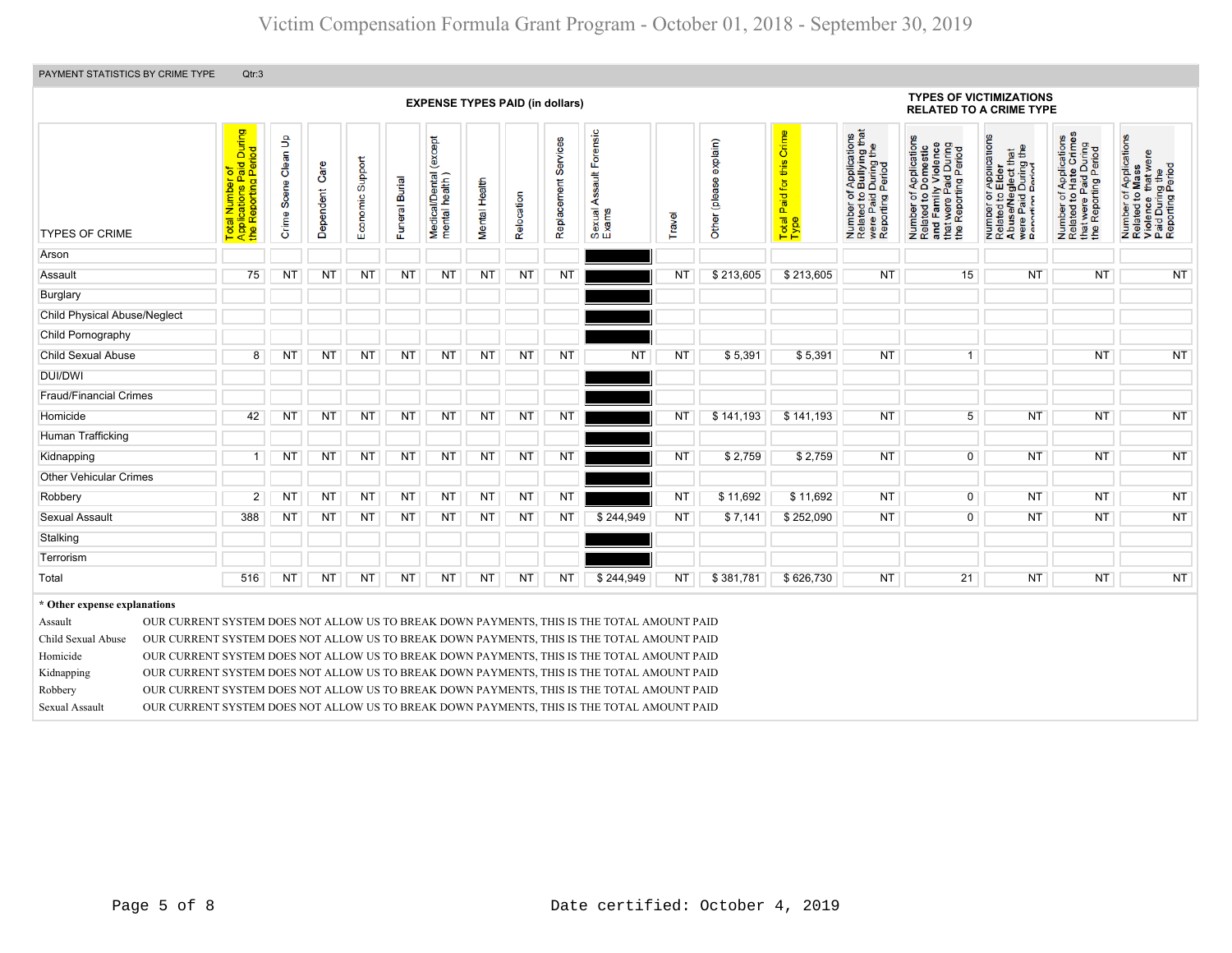## Victim Compensation Formula Grant Program - October 01, 2018 - September 30, 2019

|                                                                                                                                                                                                                           |                                                                   |                            |                   |                  |                | <b>EXPENSE TYPES PAID (in dollars)</b>       |               |            |                         |                                                                                                                                                                                                                                                                                                                                                                                                                                                                                    |           |                        |                                      |                                                                                                                                       | <b>TYPES OF VICTIMIZATIONS</b><br><b>RELATED TO A CRIME TYPE</b>                                                                                                        |                                                                                                                                                                                                 |                                                                                                                                          |                                                                                                        |
|---------------------------------------------------------------------------------------------------------------------------------------------------------------------------------------------------------------------------|-------------------------------------------------------------------|----------------------------|-------------------|------------------|----------------|----------------------------------------------|---------------|------------|-------------------------|------------------------------------------------------------------------------------------------------------------------------------------------------------------------------------------------------------------------------------------------------------------------------------------------------------------------------------------------------------------------------------------------------------------------------------------------------------------------------------|-----------|------------------------|--------------------------------------|---------------------------------------------------------------------------------------------------------------------------------------|-------------------------------------------------------------------------------------------------------------------------------------------------------------------------|-------------------------------------------------------------------------------------------------------------------------------------------------------------------------------------------------|------------------------------------------------------------------------------------------------------------------------------------------|--------------------------------------------------------------------------------------------------------|
| <b>TYPES OF CRIME</b>                                                                                                                                                                                                     | During<br>iod<br>호<br>plications Paid<br>Reporting Peri<br>육<br>ぉ | Clean Up<br>Scene<br>Crime | Care<br>Dependent | Economic Support | Funeral Burial | except<br>Medical/Dental (<br>mental health) | Mental Health | Relocation | Services<br>Replacement | Forensic<br>Assault<br>Sexual<br>Exams                                                                                                                                                                                                                                                                                                                                                                                                                                             | Travel    | Other (please explain) | Paid for this Crime<br>Total<br>Type | of Applications<br>b Bullying that<br>I Period<br>I Period<br>Number of <i>i</i><br>Related to <b>E</b><br>were Paid L<br>Reporting P | f Applications<br>Domestic<br>omestic<br>Violence<br>During<br>Period<br>Number of Appl<br>Related to Dom<br>and Family Vic<br>that were Paid I<br>ting<br>Repor<br>the | Applications<br>Elder<br>₽<br><b>glect that</b><br>I During the<br>Period<br>$\overline{5}$ $\overline{2}$<br>Number of<br>Related to I<br>Abuse/Neg<br>were Paid<br>fine<br>fi<br>were<br>Repo | f Applications<br>Hate Crimes<br>During<br>were Paid During<br>Reporting Period<br>$\frac{1}{2}$<br>Number<br>Related t<br>that<br>the F | Number of Applications<br>Related to Mass<br>Violence that were<br>Paid During the<br>Reporting Period |
| Arson                                                                                                                                                                                                                     |                                                                   |                            |                   |                  |                |                                              |               |            |                         |                                                                                                                                                                                                                                                                                                                                                                                                                                                                                    |           |                        |                                      |                                                                                                                                       |                                                                                                                                                                         |                                                                                                                                                                                                 |                                                                                                                                          |                                                                                                        |
| Assault                                                                                                                                                                                                                   | 75                                                                | NT                         | NT                | NT               | ΝT             | ΝT                                           | ΝT            | ΝT         | <b>NT</b>               |                                                                                                                                                                                                                                                                                                                                                                                                                                                                                    | NT        | \$213,605              | \$213,605                            | <b>NT</b>                                                                                                                             | 15                                                                                                                                                                      | <b>NT</b>                                                                                                                                                                                       | NT.                                                                                                                                      | <b>NT</b>                                                                                              |
| <b>Burglary</b>                                                                                                                                                                                                           |                                                                   |                            |                   |                  |                |                                              |               |            |                         |                                                                                                                                                                                                                                                                                                                                                                                                                                                                                    |           |                        |                                      |                                                                                                                                       |                                                                                                                                                                         |                                                                                                                                                                                                 |                                                                                                                                          |                                                                                                        |
| <b>Child Physical Abuse/Neglect</b>                                                                                                                                                                                       |                                                                   |                            |                   |                  |                |                                              |               |            |                         |                                                                                                                                                                                                                                                                                                                                                                                                                                                                                    |           |                        |                                      |                                                                                                                                       |                                                                                                                                                                         |                                                                                                                                                                                                 |                                                                                                                                          |                                                                                                        |
| Child Pornography                                                                                                                                                                                                         |                                                                   |                            |                   |                  |                |                                              |               |            |                         |                                                                                                                                                                                                                                                                                                                                                                                                                                                                                    |           |                        |                                      |                                                                                                                                       |                                                                                                                                                                         |                                                                                                                                                                                                 |                                                                                                                                          |                                                                                                        |
| Child Sexual Abuse                                                                                                                                                                                                        | 8                                                                 | <b>NT</b>                  | N <sub>T</sub>    | <b>NT</b>        | N <sub>T</sub> | NT                                           | NT            | <b>NT</b>  | <b>NT</b>               | <b>NT</b>                                                                                                                                                                                                                                                                                                                                                                                                                                                                          | <b>NT</b> | \$5,391                | \$5,391                              | <b>NT</b>                                                                                                                             | $\overline{1}$                                                                                                                                                          |                                                                                                                                                                                                 | <b>NT</b>                                                                                                                                | <b>NT</b>                                                                                              |
| <b>DUI/DWI</b>                                                                                                                                                                                                            |                                                                   |                            |                   |                  |                |                                              |               |            |                         |                                                                                                                                                                                                                                                                                                                                                                                                                                                                                    |           |                        |                                      |                                                                                                                                       |                                                                                                                                                                         |                                                                                                                                                                                                 |                                                                                                                                          |                                                                                                        |
| <b>Fraud/Financial Crimes</b>                                                                                                                                                                                             |                                                                   |                            |                   |                  |                |                                              |               |            |                         |                                                                                                                                                                                                                                                                                                                                                                                                                                                                                    |           |                        |                                      |                                                                                                                                       |                                                                                                                                                                         |                                                                                                                                                                                                 |                                                                                                                                          |                                                                                                        |
| Homicide                                                                                                                                                                                                                  | 42                                                                | NT                         | NT                | <b>NT</b>        | NT             | NT                                           | ΝT            | NT         | <b>NT</b>               |                                                                                                                                                                                                                                                                                                                                                                                                                                                                                    | NT        | \$141,193              | \$141,193                            | <b>NT</b>                                                                                                                             | 5                                                                                                                                                                       | <b>NT</b>                                                                                                                                                                                       | <b>NT</b>                                                                                                                                | <b>NT</b>                                                                                              |
| Human Trafficking                                                                                                                                                                                                         |                                                                   |                            |                   |                  |                |                                              |               |            |                         |                                                                                                                                                                                                                                                                                                                                                                                                                                                                                    |           |                        |                                      |                                                                                                                                       |                                                                                                                                                                         |                                                                                                                                                                                                 |                                                                                                                                          |                                                                                                        |
| Kidnapping                                                                                                                                                                                                                | $\overline{1}$                                                    | NT                         | NT                | <b>NT</b>        | <b>NT</b>      | NT                                           | NT            | NT         | <b>NT</b>               |                                                                                                                                                                                                                                                                                                                                                                                                                                                                                    | <b>NT</b> | \$2,759                | \$2,759                              | <b>NT</b>                                                                                                                             | $\overline{0}$                                                                                                                                                          | <b>NT</b>                                                                                                                                                                                       | <b>NT</b>                                                                                                                                | <b>NT</b>                                                                                              |
| <b>Other Vehicular Crimes</b>                                                                                                                                                                                             |                                                                   |                            |                   |                  |                |                                              |               |            |                         |                                                                                                                                                                                                                                                                                                                                                                                                                                                                                    |           |                        |                                      |                                                                                                                                       |                                                                                                                                                                         |                                                                                                                                                                                                 |                                                                                                                                          |                                                                                                        |
| Robbery                                                                                                                                                                                                                   | $\overline{2}$                                                    | <b>NT</b>                  | <b>NT</b>         | <b>NT</b>        | <b>NT</b>      | NT                                           | NT            | <b>NT</b>  | <b>NT</b>               |                                                                                                                                                                                                                                                                                                                                                                                                                                                                                    | <b>NT</b> | \$11,692               | \$11,692                             | <b>NT</b>                                                                                                                             | $\overline{0}$                                                                                                                                                          | <b>NT</b>                                                                                                                                                                                       | <b>NT</b>                                                                                                                                | <b>NT</b>                                                                                              |
| <b>Sexual Assault</b>                                                                                                                                                                                                     | 388                                                               | ΝT                         | NT                | ΝT               | ΝT             | ΝT                                           | <b>NT</b>     | ΝT         | <b>NT</b>               | \$244,949                                                                                                                                                                                                                                                                                                                                                                                                                                                                          | ΝT        | \$7,141                | \$252,090                            | <b>NT</b>                                                                                                                             | $\overline{0}$                                                                                                                                                          | <b>NT</b>                                                                                                                                                                                       | <b>NT</b>                                                                                                                                | <b>NT</b>                                                                                              |
| Stalking                                                                                                                                                                                                                  |                                                                   |                            |                   |                  |                |                                              |               |            |                         |                                                                                                                                                                                                                                                                                                                                                                                                                                                                                    |           |                        |                                      |                                                                                                                                       |                                                                                                                                                                         |                                                                                                                                                                                                 |                                                                                                                                          |                                                                                                        |
| Terrorism                                                                                                                                                                                                                 |                                                                   |                            |                   |                  |                |                                              |               |            |                         |                                                                                                                                                                                                                                                                                                                                                                                                                                                                                    |           |                        |                                      |                                                                                                                                       |                                                                                                                                                                         |                                                                                                                                                                                                 |                                                                                                                                          |                                                                                                        |
| Total                                                                                                                                                                                                                     | 516                                                               | <b>NT</b>                  | <b>NT</b>         | <b>NT</b>        | <b>NT</b>      | NT                                           | <b>NT</b>     | <b>NT</b>  | <b>NT</b>               | \$244,949                                                                                                                                                                                                                                                                                                                                                                                                                                                                          | <b>NT</b> | \$381,781              | \$626,730                            | <b>NT</b>                                                                                                                             | 21                                                                                                                                                                      | <b>NT</b>                                                                                                                                                                                       | <b>NT</b>                                                                                                                                | <b>NT</b>                                                                                              |
| * Other expense explanations<br>Assault<br>Child Sexual Abuse<br>OUR CURRENT SYSTEM DOES NOT ALLOW US TO BREAK DOWN PAYMENTS, THIS IS THE TOTAL AMOUNT PAID<br>Homicide<br>Kidnapping<br>Robbery<br><b>Sexual Assault</b> |                                                                   |                            |                   |                  |                |                                              |               |            |                         | OUR CURRENT SYSTEM DOES NOT ALLOW US TO BREAK DOWN PAYMENTS, THIS IS THE TOTAL AMOUNT PAID<br>OUR CURRENT SYSTEM DOES NOT ALLOW US TO BREAK DOWN PAYMENTS, THIS IS THE TOTAL AMOUNT PAID<br>OUR CURRENT SYSTEM DOES NOT ALLOW US TO BREAK DOWN PAYMENTS, THIS IS THE TOTAL AMOUNT PAID<br>OUR CURRENT SYSTEM DOES NOT ALLOW US TO BREAK DOWN PAYMENTS, THIS IS THE TOTAL AMOUNT PAID<br>OUR CURRENT SYSTEM DOES NOT ALLOW US TO BREAK DOWN PAYMENTS, THIS IS THE TOTAL AMOUNT PAID |           |                        |                                      |                                                                                                                                       |                                                                                                                                                                         |                                                                                                                                                                                                 |                                                                                                                                          |                                                                                                        |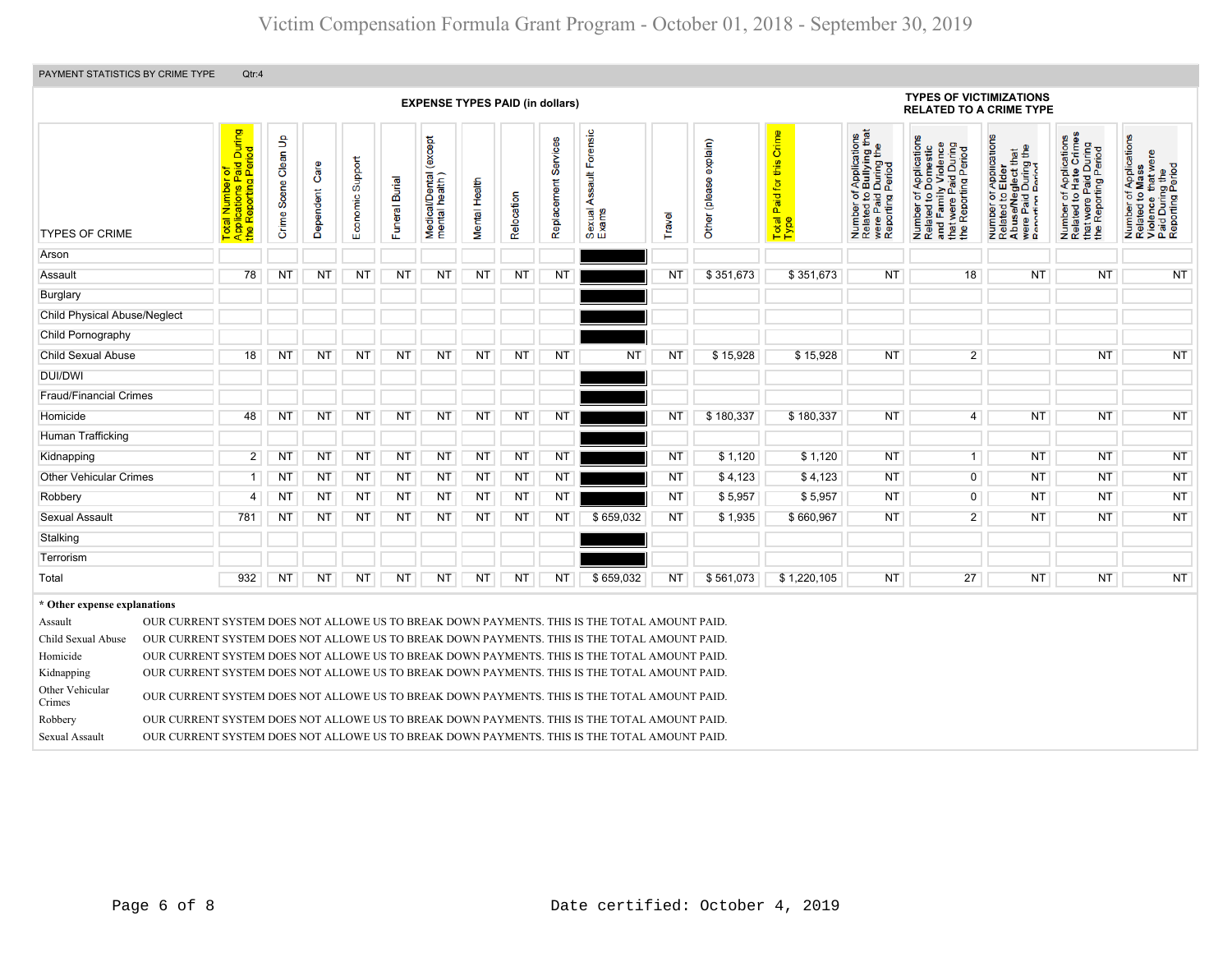## Victim Compensation Formula Grant Program - October 01, 2018 - September 30, 2019

| PAYMENT STATISTICS BY CRIME TYPE                                                                                                                  | Qtr:4                                                            |                      |                   |                     |                     |                                              |               |            |                         |                                                                                                                                                                                                                                                                                                                                                                                                                                                                                                                                                                                                                                                                                              |           |                           |                                                                  |                                                                                                                                           |                                                                                                                                            |                                                                                                                                           |                                                                                                                                                              |                                                                                                                               |  |  |
|---------------------------------------------------------------------------------------------------------------------------------------------------|------------------------------------------------------------------|----------------------|-------------------|---------------------|---------------------|----------------------------------------------|---------------|------------|-------------------------|----------------------------------------------------------------------------------------------------------------------------------------------------------------------------------------------------------------------------------------------------------------------------------------------------------------------------------------------------------------------------------------------------------------------------------------------------------------------------------------------------------------------------------------------------------------------------------------------------------------------------------------------------------------------------------------------|-----------|---------------------------|------------------------------------------------------------------|-------------------------------------------------------------------------------------------------------------------------------------------|--------------------------------------------------------------------------------------------------------------------------------------------|-------------------------------------------------------------------------------------------------------------------------------------------|--------------------------------------------------------------------------------------------------------------------------------------------------------------|-------------------------------------------------------------------------------------------------------------------------------|--|--|
|                                                                                                                                                   | <b>EXPENSE TYPES PAID (in dollars)</b>                           |                      |                   |                     |                     |                                              |               |            |                         |                                                                                                                                                                                                                                                                                                                                                                                                                                                                                                                                                                                                                                                                                              |           |                           | <b>TYPES OF VICTIMIZATIONS</b><br><b>RELATED TO A CRIME TYPE</b> |                                                                                                                                           |                                                                                                                                            |                                                                                                                                           |                                                                                                                                                              |                                                                                                                               |  |  |
| <b>TYPES OF CRIME</b>                                                                                                                             | During<br>$\overline{8}$<br>$\overline{2}$<br>ō<br>porting<br>eq | Crime Scene Clean Up | Care<br>Dependent | Support<br>Economic | uneral Burial<br>ű. | except<br>Medical/Dental (<br>mental health) | Mental Health | Relocation | Services<br>Replacement | Forensic<br><b>Assault</b><br>Sexual<br>Exams                                                                                                                                                                                                                                                                                                                                                                                                                                                                                                                                                                                                                                                | Travel    | explain)<br>Other (please | Crime<br>this<br>Paid for t<br>Total<br>Type                     | of Applications<br>o Bullying that<br>1 During the<br>I Period<br>Number of <i>A</i><br>Related to <b>E</b><br>were Paid L<br>Reporting P | f Applications<br>Domestic<br>Violence<br>were Paid During<br>Reporting Period<br>Number of A<br>Related to D<br>and Family<br>that<br>the | r Applications<br>Elder<br>the<br>that<br>During t<br>glect<br>5Q<br>Number of<br>Related to I<br>Abuse/Neg<br>were Paid I<br>Renorting F | ications<br>Crimes<br>d During<br>Period<br>Appli<br>Paid<br>$\overline{\mathbf{a}}$<br>Reporting<br>$\overline{50}$<br>were<br>Number<br>Related 1<br>the i | Applications<br>Mass<br>Number of Application<br>Related to Mass<br>Violence that were<br>Paid During the<br>Reporting Period |  |  |
| Arson                                                                                                                                             |                                                                  |                      |                   |                     |                     |                                              |               |            |                         |                                                                                                                                                                                                                                                                                                                                                                                                                                                                                                                                                                                                                                                                                              |           |                           |                                                                  |                                                                                                                                           |                                                                                                                                            |                                                                                                                                           |                                                                                                                                                              |                                                                                                                               |  |  |
| Assault                                                                                                                                           | 78                                                               | <b>NT</b>            | <b>NT</b>         | <b>NT</b>           | <b>NT</b>           | <b>NT</b>                                    | <b>NT</b>     | <b>NT</b>  | <b>NT</b>               |                                                                                                                                                                                                                                                                                                                                                                                                                                                                                                                                                                                                                                                                                              | <b>NT</b> | \$351,673                 | \$351,673                                                        | <b>NT</b>                                                                                                                                 | 18                                                                                                                                         | <b>NT</b>                                                                                                                                 | <b>NT</b>                                                                                                                                                    | <b>NT</b>                                                                                                                     |  |  |
| Burglary                                                                                                                                          |                                                                  |                      |                   |                     |                     |                                              |               |            |                         |                                                                                                                                                                                                                                                                                                                                                                                                                                                                                                                                                                                                                                                                                              |           |                           |                                                                  |                                                                                                                                           |                                                                                                                                            |                                                                                                                                           |                                                                                                                                                              |                                                                                                                               |  |  |
| <b>Child Physical Abuse/Neglect</b>                                                                                                               |                                                                  |                      |                   |                     |                     |                                              |               |            |                         |                                                                                                                                                                                                                                                                                                                                                                                                                                                                                                                                                                                                                                                                                              |           |                           |                                                                  |                                                                                                                                           |                                                                                                                                            |                                                                                                                                           |                                                                                                                                                              |                                                                                                                               |  |  |
| Child Pornography                                                                                                                                 |                                                                  |                      |                   |                     |                     |                                              |               |            |                         |                                                                                                                                                                                                                                                                                                                                                                                                                                                                                                                                                                                                                                                                                              |           |                           |                                                                  |                                                                                                                                           |                                                                                                                                            |                                                                                                                                           |                                                                                                                                                              |                                                                                                                               |  |  |
| <b>Child Sexual Abuse</b>                                                                                                                         | 18                                                               | <b>NT</b>            | <b>NT</b>         | NT                  | <b>NT</b>           | <b>NT</b>                                    | <b>NT</b>     | <b>NT</b>  | <b>NT</b>               | <b>NT</b>                                                                                                                                                                                                                                                                                                                                                                                                                                                                                                                                                                                                                                                                                    | <b>NT</b> | \$15,928                  | \$15,928                                                         | <b>NT</b>                                                                                                                                 | $\overline{2}$                                                                                                                             |                                                                                                                                           | <b>NT</b>                                                                                                                                                    | <b>NT</b>                                                                                                                     |  |  |
| <b>DUI/DWI</b>                                                                                                                                    |                                                                  |                      |                   |                     |                     |                                              |               |            |                         |                                                                                                                                                                                                                                                                                                                                                                                                                                                                                                                                                                                                                                                                                              |           |                           |                                                                  |                                                                                                                                           |                                                                                                                                            |                                                                                                                                           |                                                                                                                                                              |                                                                                                                               |  |  |
| <b>Fraud/Financial Crimes</b>                                                                                                                     |                                                                  |                      |                   |                     |                     |                                              |               |            |                         |                                                                                                                                                                                                                                                                                                                                                                                                                                                                                                                                                                                                                                                                                              |           |                           |                                                                  |                                                                                                                                           |                                                                                                                                            |                                                                                                                                           |                                                                                                                                                              |                                                                                                                               |  |  |
| Homicide                                                                                                                                          | 48                                                               | <b>NT</b>            | <b>NT</b>         | NT                  | <b>NT</b>           | <b>NT</b>                                    | ΝT            | <b>NT</b>  | NT                      |                                                                                                                                                                                                                                                                                                                                                                                                                                                                                                                                                                                                                                                                                              | <b>NT</b> | \$180,337                 | \$180,337                                                        | <b>NT</b>                                                                                                                                 | 4                                                                                                                                          | NT                                                                                                                                        | <b>NT</b>                                                                                                                                                    | <b>NT</b>                                                                                                                     |  |  |
| Human Trafficking                                                                                                                                 |                                                                  |                      |                   |                     |                     |                                              |               |            |                         |                                                                                                                                                                                                                                                                                                                                                                                                                                                                                                                                                                                                                                                                                              |           |                           |                                                                  |                                                                                                                                           |                                                                                                                                            |                                                                                                                                           |                                                                                                                                                              |                                                                                                                               |  |  |
| Kidnapping                                                                                                                                        | $\overline{2}$                                                   | <b>NT</b>            | <b>NT</b>         | <b>NT</b>           | <b>NT</b>           | <b>NT</b>                                    | <b>NT</b>     | <b>NT</b>  | <b>NT</b>               |                                                                                                                                                                                                                                                                                                                                                                                                                                                                                                                                                                                                                                                                                              | <b>NT</b> | \$1,120                   | \$1,120                                                          | <b>NT</b>                                                                                                                                 | $\mathbf{1}$                                                                                                                               | <b>NT</b>                                                                                                                                 | <b>NT</b>                                                                                                                                                    | <b>NT</b>                                                                                                                     |  |  |
| <b>Other Vehicular Crimes</b>                                                                                                                     | 1                                                                | <b>NT</b>            | NT                | <b>NT</b>           | NT                  | <b>NT</b>                                    | <b>NT</b>     | <b>NT</b>  | <b>NT</b>               |                                                                                                                                                                                                                                                                                                                                                                                                                                                                                                                                                                                                                                                                                              | <b>NT</b> | \$4,123                   | \$4,123                                                          | <b>NT</b>                                                                                                                                 | $\overline{0}$                                                                                                                             | <b>NT</b>                                                                                                                                 | <b>NT</b>                                                                                                                                                    | <b>NT</b>                                                                                                                     |  |  |
| Robbery                                                                                                                                           | $\overline{4}$                                                   | <b>NT</b>            | ΝT                | <b>NT</b>           | NT                  | NT                                           | ΝT            | <b>NT</b>  | NT                      |                                                                                                                                                                                                                                                                                                                                                                                                                                                                                                                                                                                                                                                                                              | <b>NT</b> | \$5,957                   | \$5,957                                                          | <b>NT</b>                                                                                                                                 | $\mathbf 0$                                                                                                                                | <b>NT</b>                                                                                                                                 | <b>NT</b>                                                                                                                                                    | <b>NT</b>                                                                                                                     |  |  |
| <b>Sexual Assault</b>                                                                                                                             | 781                                                              | <b>NT</b>            | <b>NT</b>         | NT                  | NT                  | <b>NT</b>                                    | ΝT            | <b>NT</b>  | <b>NT</b>               | \$659,032                                                                                                                                                                                                                                                                                                                                                                                                                                                                                                                                                                                                                                                                                    | <b>NT</b> | \$1,935                   | \$660,967                                                        | <b>NT</b>                                                                                                                                 | $\overline{2}$                                                                                                                             | <b>NT</b>                                                                                                                                 | <b>NT</b>                                                                                                                                                    | <b>NT</b>                                                                                                                     |  |  |
| Stalking                                                                                                                                          |                                                                  |                      |                   |                     |                     |                                              |               |            |                         |                                                                                                                                                                                                                                                                                                                                                                                                                                                                                                                                                                                                                                                                                              |           |                           |                                                                  |                                                                                                                                           |                                                                                                                                            |                                                                                                                                           |                                                                                                                                                              |                                                                                                                               |  |  |
| Terrorism                                                                                                                                         |                                                                  |                      |                   |                     |                     |                                              |               |            |                         |                                                                                                                                                                                                                                                                                                                                                                                                                                                                                                                                                                                                                                                                                              |           |                           |                                                                  |                                                                                                                                           |                                                                                                                                            |                                                                                                                                           |                                                                                                                                                              |                                                                                                                               |  |  |
| Total                                                                                                                                             | 932                                                              | <b>NT</b>            | <b>NT</b>         | <b>NT</b>           | <b>NT</b>           | <b>NT</b>                                    | <b>NT</b>     | <b>NT</b>  | <b>NT</b>               | \$659,032                                                                                                                                                                                                                                                                                                                                                                                                                                                                                                                                                                                                                                                                                    | <b>NT</b> | \$561.073                 | \$1.220.105                                                      | <b>NT</b>                                                                                                                                 | 27                                                                                                                                         | <b>NT</b>                                                                                                                                 | <b>NT</b>                                                                                                                                                    | <b>NT</b>                                                                                                                     |  |  |
| * Other expense explanations<br>Assault<br>Child Sexual Abuse<br>Homicide<br>Kidnapping<br>Other Vehicular<br>Crimes<br>Robbery<br>Sexual Assault |                                                                  |                      |                   |                     |                     |                                              |               |            |                         | OUR CURRENT SYSTEM DOES NOT ALLOWE US TO BREAK DOWN PAYMENTS. THIS IS THE TOTAL AMOUNT PAID.<br>OUR CURRENT SYSTEM DOES NOT ALLOWE US TO BREAK DOWN PAYMENTS. THIS IS THE TOTAL AMOUNT PAID.<br>OUR CURRENT SYSTEM DOES NOT ALLOWE US TO BREAK DOWN PAYMENTS. THIS IS THE TOTAL AMOUNT PAID.<br>OUR CURRENT SYSTEM DOES NOT ALLOWE US TO BREAK DOWN PAYMENTS. THIS IS THE TOTAL AMOUNT PAID.<br>OUR CURRENT SYSTEM DOES NOT ALLOWE US TO BREAK DOWN PAYMENTS. THIS IS THE TOTAL AMOUNT PAID.<br>OUR CURRENT SYSTEM DOES NOT ALLOWE US TO BREAK DOWN PAYMENTS. THIS IS THE TOTAL AMOUNT PAID.<br>OUR CURRENT SYSTEM DOES NOT ALLOWE US TO BREAK DOWN PAYMENTS. THIS IS THE TOTAL AMOUNT PAID. |           |                           |                                                                  |                                                                                                                                           |                                                                                                                                            |                                                                                                                                           |                                                                                                                                                              |                                                                                                                               |  |  |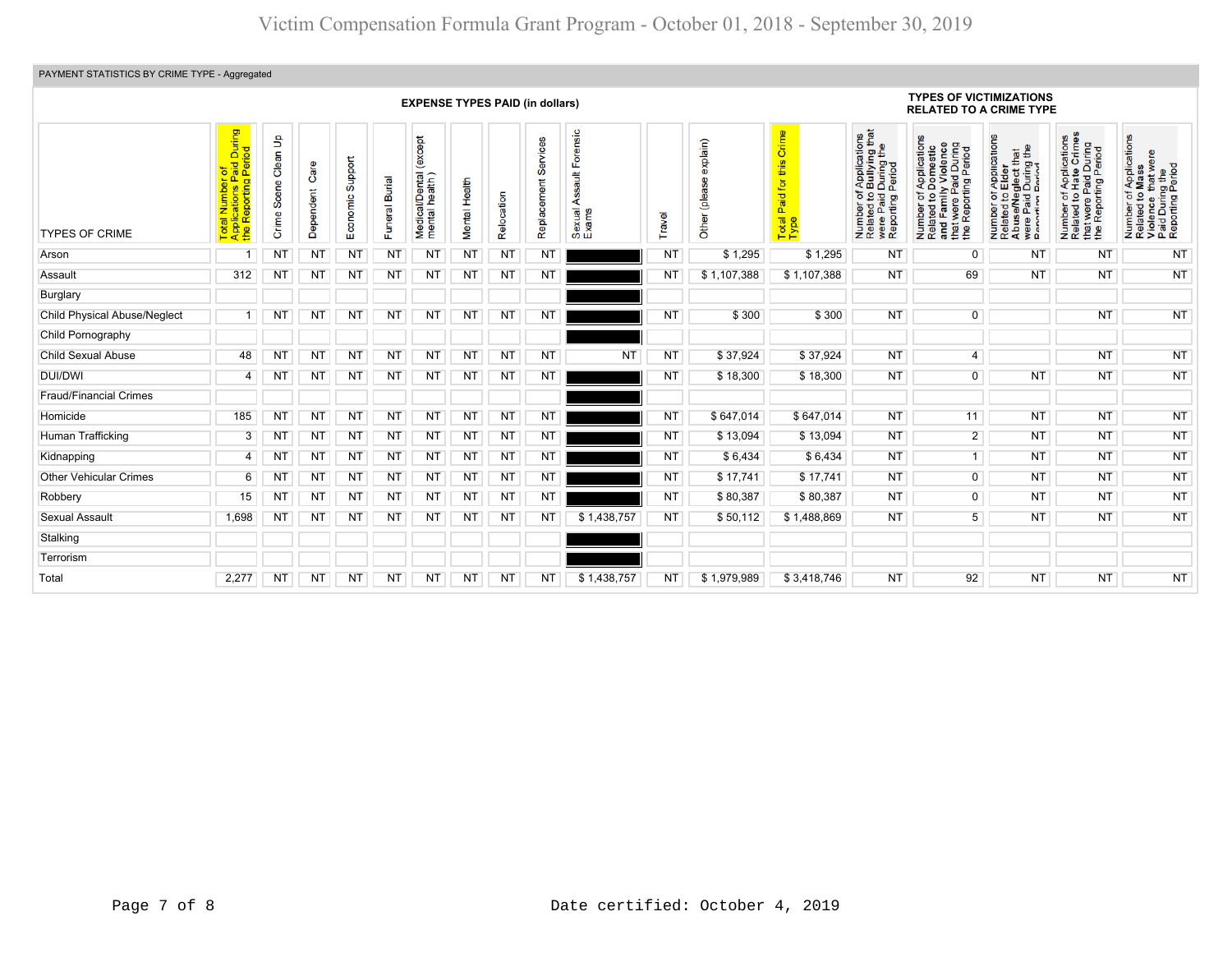#### PAYMENT STATISTICS BY CRIME TYPE - Aggregated

|                                     | <b>EXPENSE TYPES PAID (in dollars)</b>                                         |                            |                   |                     |                          |                                              |               |            |                         |                                           |           |                          |                                            | <b>TYPES OF VICTIMIZATIONS</b><br><b>RELATED TO A CRIME TYPE</b>                                                                   |                                                                                                                       |                                                                                                                                                              |                                                                                                   |                                                                                                                                |  |  |
|-------------------------------------|--------------------------------------------------------------------------------|----------------------------|-------------------|---------------------|--------------------------|----------------------------------------------|---------------|------------|-------------------------|-------------------------------------------|-----------|--------------------------|--------------------------------------------|------------------------------------------------------------------------------------------------------------------------------------|-----------------------------------------------------------------------------------------------------------------------|--------------------------------------------------------------------------------------------------------------------------------------------------------------|---------------------------------------------------------------------------------------------------|--------------------------------------------------------------------------------------------------------------------------------|--|--|
| <b>TYPES OF CRIME</b>               | During<br>iod<br>Total Number of<br>Applications Paid I<br>the Reporting Peric | Clean Up<br>Scene<br>Crime | Care<br>Dependent | Support<br>Economic | <b>Burial</b><br>Funeral | except<br>Medical/Dental (<br>mental health) | Mental Health | Relocation | Services<br>Replacement | orensic<br>ssault<br>⋖<br>Sexual<br>Exams | Travel    | (misdx<br>(plea<br>Other | Crime<br>this<br>Paid for<br>Total<br>Type | of Applications<br>o Bullying that<br>1 During the<br>I Period<br>Number of /<br>Related to <b>B</b><br>were Paid L<br>Reporting P | Number of Applications<br>Related to Domestic<br>and Family Violence<br>that were Paid During<br>the Reporting Period | r Application<br>Elder<br>the<br>that<br>glect th<br>During<br>Period<br>5 <sub>0</sub><br>use/Ne<br>re Paid<br>Number<br>Related<br>Abuse/N<br>Were<br>Repo | Number of Applications<br>Related to Hate Crimes<br>that were Paid During<br>the Reporting Period | f Applications<br>Mass<br>Number of Applicatio<br>Related to Mass<br>Violence that were<br>Paid During the<br>Reporting Period |  |  |
| Arson                               | 1                                                                              | <b>NT</b>                  | <b>NT</b>         | <b>NT</b>           | <b>NT</b>                | <b>NT</b>                                    | <b>NT</b>     | <b>NT</b>  | <b>NT</b>               |                                           | <b>NT</b> | \$1,295                  | \$1,295                                    | <b>NT</b>                                                                                                                          | $\overline{0}$                                                                                                        | <b>NT</b>                                                                                                                                                    | <b>NT</b>                                                                                         | <b>NT</b>                                                                                                                      |  |  |
| Assault                             | 312                                                                            | <b>NT</b>                  | <b>NT</b>         | <b>NT</b>           | <b>NT</b>                | ΝT                                           | <b>NT</b>     | ΝT         | N <sub>T</sub>          |                                           | <b>NT</b> | \$1,107,388              | \$1,107,388                                | <b>NT</b>                                                                                                                          | 69                                                                                                                    | <b>NT</b>                                                                                                                                                    | <b>NT</b>                                                                                         | <b>NT</b>                                                                                                                      |  |  |
| Burglary                            |                                                                                |                            |                   |                     |                          |                                              |               |            |                         |                                           |           |                          |                                            |                                                                                                                                    |                                                                                                                       |                                                                                                                                                              |                                                                                                   |                                                                                                                                |  |  |
| <b>Child Physical Abuse/Neglect</b> |                                                                                | ΝT                         | ΝT                | ΝT                  | NT                       | ΝT                                           | ΝT            | ΝT         | N1                      |                                           | <b>NT</b> | \$300                    | \$300                                      | <b>NT</b>                                                                                                                          | $\overline{0}$                                                                                                        |                                                                                                                                                              | <b>NT</b>                                                                                         | <b>NT</b>                                                                                                                      |  |  |
| Child Pornography                   |                                                                                |                            |                   |                     |                          |                                              |               |            |                         |                                           |           |                          |                                            |                                                                                                                                    |                                                                                                                       |                                                                                                                                                              |                                                                                                   |                                                                                                                                |  |  |
| <b>Child Sexual Abuse</b>           | 48                                                                             | ΝT                         | <b>NT</b>         | NT                  | NT                       | ΝT                                           | ΝT            | <b>NT</b>  | <b>NT</b>               | <b>NT</b>                                 | NT        | \$37,924                 | \$37,924                                   | <b>NT</b>                                                                                                                          | $\overline{4}$                                                                                                        |                                                                                                                                                              | <b>NT</b>                                                                                         | <b>NT</b>                                                                                                                      |  |  |
| <b>DUI/DWI</b>                      | 4                                                                              | NT                         | <b>NT</b>         | <b>NT</b>           | <b>NT</b>                | NT                                           | <b>NT</b>     | <b>NT</b>  | <b>NT</b>               |                                           | <b>NT</b> | \$18,300                 | \$18,300                                   | <b>NT</b>                                                                                                                          | $\overline{0}$                                                                                                        | <b>NT</b>                                                                                                                                                    | <b>NT</b>                                                                                         | <b>NT</b>                                                                                                                      |  |  |
| <b>Fraud/Financial Crimes</b>       |                                                                                |                            |                   |                     |                          |                                              |               |            |                         |                                           |           |                          |                                            |                                                                                                                                    |                                                                                                                       |                                                                                                                                                              |                                                                                                   |                                                                                                                                |  |  |
| Homicide                            | 185                                                                            | <b>NT</b>                  | ΝT                | NT                  | <b>NT</b>                | NT                                           | <b>NT</b>     | <b>NT</b>  | <b>NT</b>               |                                           | <b>NT</b> | \$647,014                | \$647,014                                  | <b>NT</b>                                                                                                                          | 11                                                                                                                    | <b>NT</b>                                                                                                                                                    | <b>NT</b>                                                                                         | <b>NT</b>                                                                                                                      |  |  |
| Human Trafficking                   | 3                                                                              | N1                         | <b>NT</b>         | NT                  | NT                       | NT                                           | <b>NT</b>     | <b>NT</b>  | <b>NT</b>               |                                           | <b>NT</b> | \$13,094                 | \$13,094                                   | <b>NT</b>                                                                                                                          | $\overline{2}$                                                                                                        | <b>NT</b>                                                                                                                                                    | <b>NT</b>                                                                                         | <b>NT</b>                                                                                                                      |  |  |
| Kidnapping                          | 4                                                                              | N1                         | ΝT                | NT                  | <b>NT</b>                | NT                                           | <b>NT</b>     | ΝT         | <b>NT</b>               |                                           | <b>NT</b> | \$6,434                  | \$6,434                                    | <b>NT</b>                                                                                                                          | $\overline{1}$                                                                                                        | <b>NT</b>                                                                                                                                                    | <b>NT</b>                                                                                         | <b>NT</b>                                                                                                                      |  |  |
| <b>Other Vehicular Crimes</b>       | 6                                                                              | N <sub>T</sub>             | ΝT                | ΝT                  | <b>NT</b>                | ΝT                                           | <b>NT</b>     | ΝT         | <b>NT</b>               |                                           | <b>NT</b> | \$17,741                 | \$17,741                                   | <b>NT</b>                                                                                                                          | $\overline{0}$                                                                                                        | <b>NT</b>                                                                                                                                                    | <b>NT</b>                                                                                         | <b>NT</b>                                                                                                                      |  |  |
| Robbery                             | 15                                                                             | N <sub>1</sub>             | <b>NT</b>         | <b>NT</b>           | <b>NT</b>                | NT                                           | <b>NT</b>     | NT         | <b>NT</b>               |                                           | <b>NT</b> | \$80,387                 | \$80,387                                   | <b>NT</b>                                                                                                                          | $\overline{0}$                                                                                                        | <b>NT</b>                                                                                                                                                    | <b>NT</b>                                                                                         | <b>NT</b>                                                                                                                      |  |  |
| <b>Sexual Assault</b>               | 1,698                                                                          | NT                         | NT                | ΝT                  | ΝT                       | ΝT                                           | ΝT            | ΝT         | NT                      | \$1,438,757                               | <b>NT</b> | \$50,112                 | \$1,488,869                                | <b>NT</b>                                                                                                                          | 5                                                                                                                     | <b>NT</b>                                                                                                                                                    | <b>NT</b>                                                                                         | <b>NT</b>                                                                                                                      |  |  |
| Stalking                            |                                                                                |                            |                   |                     |                          |                                              |               |            |                         |                                           |           |                          |                                            |                                                                                                                                    |                                                                                                                       |                                                                                                                                                              |                                                                                                   |                                                                                                                                |  |  |
| Terrorism                           |                                                                                |                            |                   |                     |                          |                                              |               |            |                         |                                           |           |                          |                                            |                                                                                                                                    |                                                                                                                       |                                                                                                                                                              |                                                                                                   |                                                                                                                                |  |  |
| Total                               | 2,277                                                                          | NT                         | NT                | ΝT                  | ΝT                       | ΝT                                           | ΝT            | NT         | NT                      | \$1,438,757                               | NT        | \$1,979,989              | \$3,418,746                                | <b>NT</b>                                                                                                                          | 92                                                                                                                    | <b>NT</b>                                                                                                                                                    | <b>NT</b>                                                                                         | <b>NT</b>                                                                                                                      |  |  |